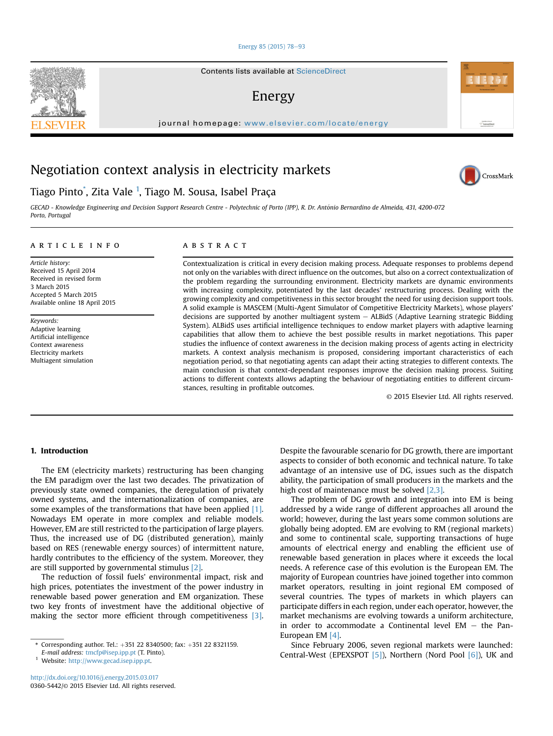## [Energy 85 \(2015\) 78](http://dx.doi.org/10.1016/j.energy.2015.03.017)-[93](http://dx.doi.org/10.1016/j.energy.2015.03.017)

Contents lists available at ScienceDirect

# Energy

journal homepage: [www.elsevier.com/locate/energy](http://www.elsevier.com/locate/energy)

# Negotiation context analysis in electricity markets

# Tiago Pinto<sup>\*</sup>, Zita Vale <sup>1</sup>, Tiago M. Sousa, Isabel Praça

GECAD - Knowledge Engineering and Decision Support Research Centre - Polytechnic of Porto (IPP), R. Dr. Antonio Bernardino de Almeida, 431, 4200-072 Porto, Portugal

## article info

Article history: Received 15 April 2014 Received in revised form 3 March 2015 Accepted 5 March 2015 Available online 18 April 2015

Keywords: Adaptive learning Artificial intelligence Context awareness Electricity markets Multiagent simulation

# ABSTRACT

Contextualization is critical in every decision making process. Adequate responses to problems depend not only on the variables with direct influence on the outcomes, but also on a correct contextualization of the problem regarding the surrounding environment. Electricity markets are dynamic environments with increasing complexity, potentiated by the last decades' restructuring process. Dealing with the growing complexity and competitiveness in this sector brought the need for using decision support tools. A solid example is MASCEM (Multi-Agent Simulator of Competitive Electricity Markets), whose players' decisions are supported by another multiagent system  $-$  ALBidS (Adaptive Learning strategic Bidding System). ALBidS uses artificial intelligence techniques to endow market players with adaptive learning capabilities that allow them to achieve the best possible results in market negotiations. This paper studies the influence of context awareness in the decision making process of agents acting in electricity markets. A context analysis mechanism is proposed, considering important characteristics of each negotiation period, so that negotiating agents can adapt their acting strategies to different contexts. The main conclusion is that context-dependant responses improve the decision making process. Suiting actions to different contexts allows adapting the behaviour of negotiating entities to different circumstances, resulting in profitable outcomes.

© 2015 Elsevier Ltd. All rights reserved.

## 1. Introduction

The EM (electricity markets) restructuring has been changing the EM paradigm over the last two decades. The privatization of previously state owned companies, the deregulation of privately owned systems, and the internationalization of companies, are some examples of the transformations that have been applied [1]. Nowadays EM operate in more complex and reliable models. However, EM are still restricted to the participation of large players. Thus, the increased use of DG (distributed generation), mainly based on RES (renewable energy sources) of intermittent nature, hardly contributes to the efficiency of the system. Moreover, they are still supported by governmental stimulus [2].

The reduction of fossil fuels' environmental impact, risk and high prices, potentiates the investment of the power industry in renewable based power generation and EM organization. These two key fronts of investment have the additional objective of making the sector more efficient through competitiveness [3]. Despite the favourable scenario for DG growth, there are important aspects to consider of both economic and technical nature. To take advantage of an intensive use of DG, issues such as the dispatch ability, the participation of small producers in the markets and the high cost of maintenance must be solved [2,3].

The problem of DG growth and integration into EM is being addressed by a wide range of different approaches all around the world; however, during the last years some common solutions are globally being adopted. EM are evolving to RM (regional markets) and some to continental scale, supporting transactions of huge amounts of electrical energy and enabling the efficient use of renewable based generation in places where it exceeds the local needs. A reference case of this evolution is the European EM. The majority of European countries have joined together into common market operators, resulting in joint regional EM composed of several countries. The types of markets in which players can participate differs in each region, under each operator, however, the market mechanisms are evolving towards a uniform architecture, in order to accommodate a Continental level  $EM - the Pan-$ European EM [4].

Since February 2006, seven regional markets were launched: Central-West (EPEXSPOT [5]), Northern (Nord Pool [6]), UK and





Automotive at<br>ScienceDire

<sup>\*</sup> Corresponding author. Tel.:  $+351$  22 8340500; fax:  $+351$  22 8321159.

E-mail address: [tmcfp@isep.ipp.pt](mailto:tmcfp@isep.ipp.pt) (T. Pinto).

<sup>1</sup> Website: [http://www.gecad.isep.ipp.pt.](http://www.gecad.isep.ipp.pt/)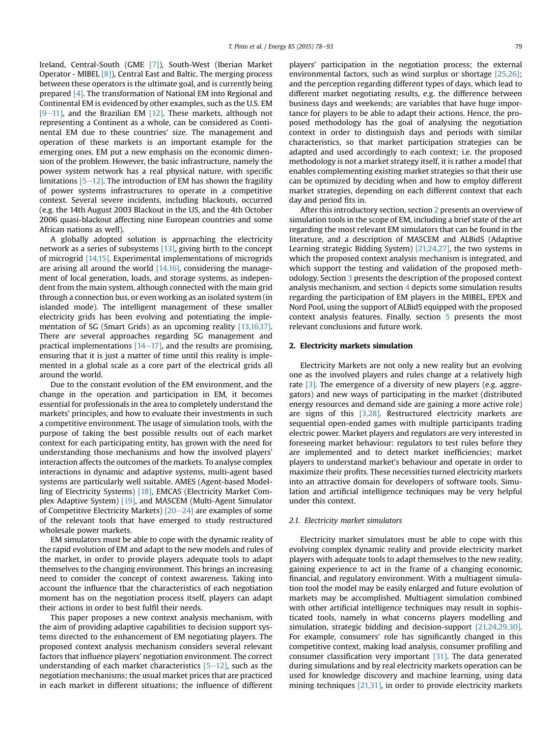Ireland, Central-South (GME [7]), South-West (Iberian Market Operator - MIBEL [8]), Central East and Baltic. The merging process between these operators is the ultimate goal, and is currently being prepared [4]. The transformation of National EM into Regional and Continental EM is evidenced by other examples, such as the U.S. EM  $[9-11]$ , and the Brazilian EM  $[12]$ . These markets, although not representing a Continent as a whole, can be considered as Continental EM due to these countries' size. The management and operation of these markets is an important example for the emerging ones. EM put a new emphasis on the economic dimension of the problem. However, the basic infrastructure, namely the power system network has a real physical nature, with specific limitations  $[5-12]$ . The introduction of EM has shown the fragility of power systems infrastructures to operate in a competitive context. Several severe incidents, including blackouts, occurred (e.g. the 14th August 2003 Blackout in the US, and the 4th October 2006 quasi-blackout affecting nine European countries and some African nations as well).

A globally adopted solution is approaching the electricity network as a series of subsystems [13], giving birth to the concept of microgrid [14,15]. Experimental implementations of microgrids are arising all around the world  $[14,16]$ , considering the management of local generation, loads, and storage systems, as independent from the main system, although connected with the main grid through a connection bus, or even working as an isolated system (in islanded mode). The intelligent management of these smaller electricity grids has been evolving and potentiating the implementation of SG (Smart Grids) as an upcoming reality [13,16,17]. There are several approaches regarding SG management and practical implementations  $[14-17]$ , and the results are promising, ensuring that it is just a matter of time until this reality is implemented in a global scale as a core part of the electrical grids all around the world.

Due to the constant evolution of the EM environment, and the change in the operation and participation in EM, it becomes essential for professionals in the area to completely understand the markets' principles, and how to evaluate their investments in such a competitive environment. The usage of simulation tools, with the purpose of taking the best possible results out of each market context for each participating entity, has grown with the need for understanding those mechanisms and how the involved players' interaction affects the outcomes of the markets. To analyse complex interactions in dynamic and adaptive systems, multi-agent based systems are particularly well suitable. AMES (Agent-based Modelling of Electricity Systems) [18], EMCAS (Electricity Market Complex Adaptive System) [19], and MASCEM (Multi-Agent Simulator of Competitive Electricity Markets)  $[20-24]$  are examples of some of the relevant tools that have emerged to study restructured wholesale power markets.

EM simulators must be able to cope with the dynamic reality of the rapid evolution of EM and adapt to the new models and rules of the market, in order to provide players adequate tools to adapt themselves to the changing environment. This brings an increasing need to consider the concept of context awareness. Taking into account the influence that the characteristics of each negotiation moment has on the negotiation process itself, players can adapt their actions in order to best fulfil their needs.

This paper proposes a new context analysis mechanism, with the aim of providing adaptive capabilities to decision support systems directed to the enhancement of EM negotiating players. The proposed context analysis mechanism considers several relevant factors that influence players' negotiation environment. The correct understanding of each market characteristics  $[5-12]$ , such as the negotiation mechanisms; the usual market prices that are practiced in each market in different situations; the influence of different players' participation in the negotiation process; the external environmental factors, such as wind surplus or shortage [25,26]; and the perception regarding different types of days, which lead to different market negotiating results, e.g. the difference between business days and weekends; are variables that have huge importance for players to be able to adapt their actions. Hence, the proposed methodology has the goal of analysing the negotiation context in order to distinguish days and periods with similar characteristics, so that market participation strategies can be adapted and used accordingly to each context; i.e. the proposed methodology is not a market strategy itself, it is rather a model that enables complementing existing market strategies so that their use can be optimized by deciding when and how to employ different market strategies, depending on each different context that each day and period fits in.

After this introductory section, section 2 presents an overview of simulation tools in the scope of EM, including a brief state of the art regarding the most relevant EM simulators that can be found in the literature, and a description of MASCEM and ALBidS (Adaptive Learning strategic Bidding System) [21,24,27], the two systems in which the proposed context analysis mechanism is integrated, and which support the testing and validation of the proposed methodology. Section 3 presents the description of the proposed context analysis mechanism, and section 4 depicts some simulation results regarding the participation of EM players in the MIBEL, EPEX and Nord Pool, using the support of ALBidS equipped with the proposed context analysis features. Finally, section 5 presents the most relevant conclusions and future work.

### 2. Electricity markets simulation

Electricity Markets are not only a new reality but an evolving one as the involved players and rules change at a relatively high rate [3]. The emergence of a diversity of new players (e.g. aggregators) and new ways of participating in the market (distributed energy resources and demand side are gaining a more active role) are signs of this [3,28]. Restructured electricity markets are sequential open-ended games with multiple participants trading electric power. Market players and regulators are very interested in foreseeing market behaviour: regulators to test rules before they are implemented and to detect market inefficiencies; market players to understand market's behaviour and operate in order to maximize their profits. These necessities turned electricity markets into an attractive domain for developers of software tools. Simulation and artificial intelligence techniques may be very helpful under this context.

#### 2.1. Electricity market simulators

Electricity market simulators must be able to cope with this evolving complex dynamic reality and provide electricity market players with adequate tools to adapt themselves to the new reality, gaining experience to act in the frame of a changing economic, financial, and regulatory environment. With a multiagent simulation tool the model may be easily enlarged and future evolution of markets may be accomplished. Multiagent simulation combined with other artificial intelligence techniques may result in sophisticated tools, namely in what concerns players modelling and simulation, strategic bidding and decision-support [21,24,29,30]. For example, consumers' role has significantly changed in this competitive context, making load analysis, consumer profiling and consumer classification very important [31]. The data generated during simulations and by real electricity markets operation can be used for knowledge discovery and machine learning, using data mining techniques [21,31], in order to provide electricity markets